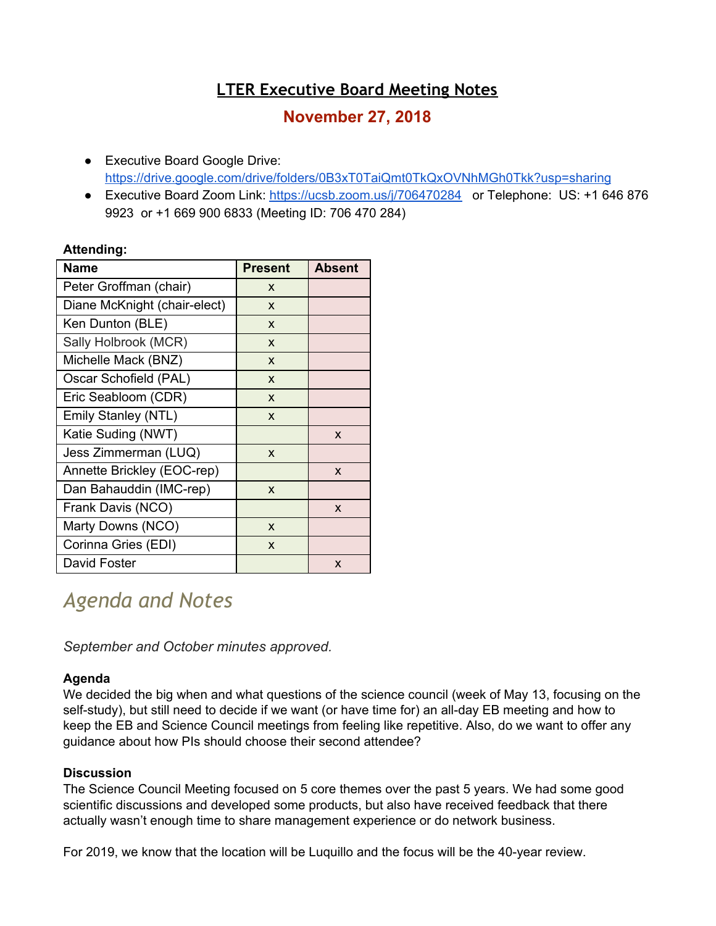## **LTER Executive Board Meeting Notes**

### **November 27, 2018**

- Executive Board Google Drive: <https://drive.google.com/drive/folders/0B3xT0TaiQmt0TkQxOVNhMGh0Tkk?usp=sharing>
- Executive Board Zoom Link:<https://ucsb.zoom.us/j/706470284>or Telephone: US: +1 646 876 9923 or +1 669 900 6833 (Meeting ID: 706 470 284)

#### **Attending:**

| Name                         | <b>Present</b> | Absent       |
|------------------------------|----------------|--------------|
| Peter Groffman (chair)       | X              |              |
| Diane McKnight (chair-elect) | X              |              |
| Ken Dunton (BLE)             | X              |              |
| Sally Holbrook (MCR)         | X              |              |
| Michelle Mack (BNZ)          | X              |              |
| Oscar Schofield (PAL)        | X              |              |
| Eric Seabloom (CDR)          | X              |              |
| <b>Emily Stanley (NTL)</b>   | X              |              |
| Katie Suding (NWT)           |                | X            |
| Jess Zimmerman (LUQ)         | X              |              |
| Annette Brickley (EOC-rep)   |                | $\mathsf{x}$ |
| Dan Bahauddin (IMC-rep)      | X              |              |
| Frank Davis (NCO)            |                | $\mathsf{x}$ |
| Marty Downs (NCO)            | X              |              |
| Corinna Gries (EDI)          | X              |              |
| David Foster                 |                | X            |

# *Agenda and Notes*

*September and October minutes approved.*

#### **Agenda**

We decided the big when and what questions of the science council (week of May 13, focusing on the self-study), but still need to decide if we want (or have time for) an all-day EB meeting and how to keep the EB and Science Council meetings from feeling like repetitive. Also, do we want to offer any guidance about how PIs should choose their second attendee?

#### **Discussion**

The Science Council Meeting focused on 5 core themes over the past 5 years. We had some good scientific discussions and developed some products, but also have received feedback that there actually wasn't enough time to share management experience or do network business.

For 2019, we know that the location will be Luquillo and the focus will be the 40-year review.